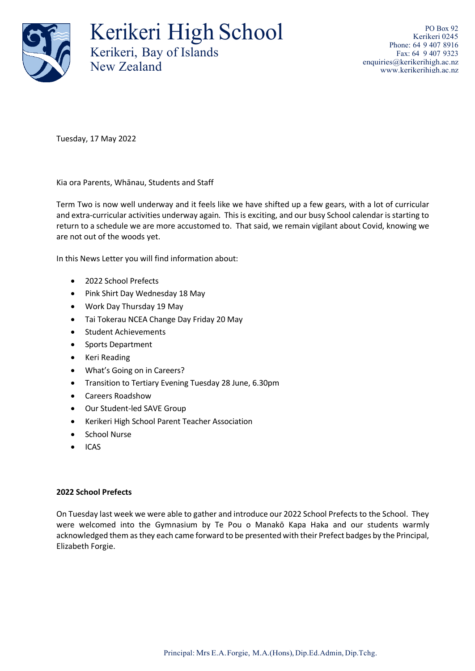

Kerikeri High School Kerikeri, Bay of Islands New Zealand

PO Box 92 Kerikeri 0245 Phone: 64 9 407 8916 Fax: 64 9 407 9323 [enquiries@kerikerihigh.ac.nz](mailto:enquiries@kerikerihigh.ac.nz) [www.kerikerihigh.ac.nz](http://www.kerikerihigh.ac.nz/)

Tuesday, 17 May 2022

Kia ora Parents, Whānau, Students and Staff

Term Two is now well underway and it feels like we have shifted up a few gears, with a lot of curricular and extra-curricular activities underway again. This is exciting, and our busy School calendar is starting to return to a schedule we are more accustomed to. That said, we remain vigilant about Covid, knowing we are not out of the woods yet.

In this News Letter you will find information about:

- 2022 School Prefects
- Pink Shirt Day Wednesday 18 May
- Work Day Thursday 19 May
- Tai Tokerau NCEA Change Day Friday 20 May
- Student Achievements
- Sports Department
- Keri Reading
- What's Going on in Careers?
- Transition to Tertiary Evening Tuesday 28 June, 6.30pm
- Careers Roadshow
- Our Student-led SAVE Group
- Kerikeri High School Parent Teacher Association
- School Nurse
- ICAS

# **2022 School Prefects**

On Tuesday last week we were able to gather and introduce our 2022 School Prefects to the School. They were welcomed into the Gymnasium by Te Pou o Manakō Kapa Haka and our students warmly acknowledged them as they each came forward to be presented with their Prefect badges by the Principal, Elizabeth Forgie.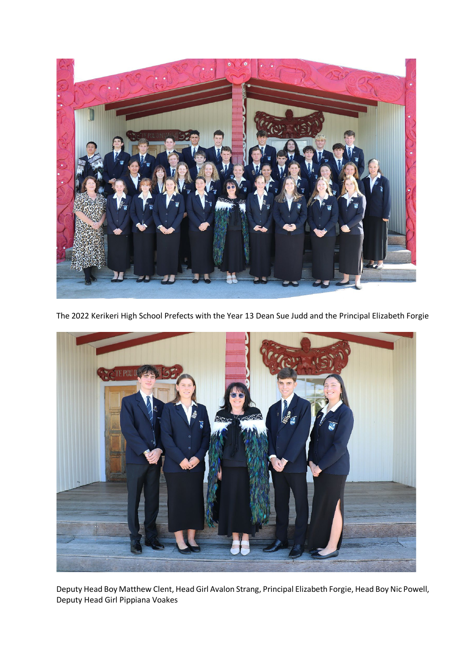

The 2022 Kerikeri High School Prefects with the Year 13 Dean Sue Judd and the Principal Elizabeth Forgie



Deputy Head Boy Matthew Clent, Head Girl Avalon Strang, Principal Elizabeth Forgie, Head Boy Nic Powell, Deputy Head Girl Pippiana Voakes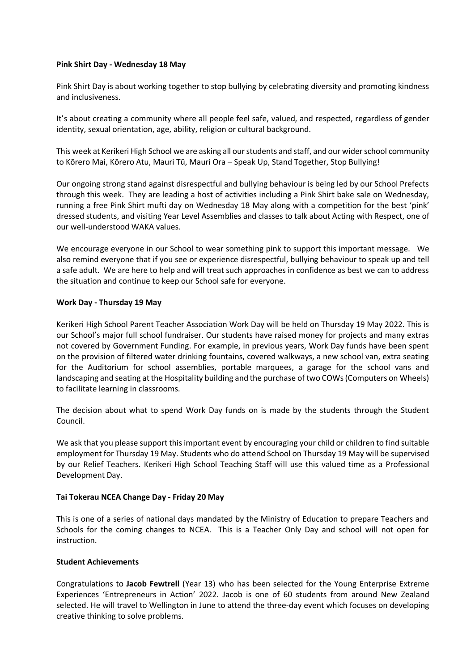### **Pink Shirt Day - Wednesday 18 May**

Pink Shirt Day is about working together to stop bullying by celebrating diversity and promoting kindness and inclusiveness.

It's about creating a community where all people feel safe, valued, and respected, regardless of gender identity, sexual orientation, age, ability, religion or cultural background.

This week at Kerikeri High School we are asking all our students and staff, and our wider school community to Kōrero Mai, Kōrero Atu, Mauri Tū, Mauri Ora – Speak Up, Stand Together, Stop Bullying!

Our ongoing strong stand against disrespectful and bullying behaviour is being led by our School Prefects through this week. They are leading a host of activities including a Pink Shirt bake sale on Wednesday, running a free Pink Shirt mufti day on Wednesday 18 May along with a competition for the best 'pink' dressed students, and visiting Year Level Assemblies and classes to talk about Acting with Respect, one of our well-understood WAKA values.

We encourage everyone in our School to wear something pink to support this important message. We also remind everyone that if you see or experience disrespectful, bullying behaviour to speak up and tell a safe adult. We are here to help and will treat such approaches in confidence as best we can to address the situation and continue to keep our School safe for everyone.

# **Work Day - Thursday 19 May**

Kerikeri High School Parent Teacher Association Work Day will be held on Thursday 19 May 2022. This is our School's major full school fundraiser. Our students have raised money for projects and many extras not covered by Government Funding. For example, in previous years, Work Day funds have been spent on the provision of filtered water drinking fountains, covered walkways, a new school van, extra seating for the Auditorium for school assemblies, portable marquees, a garage for the school vans and landscaping and seating at the Hospitality building and the purchase of two COWs(Computers on Wheels) to facilitate learning in classrooms.

The decision about what to spend Work Day funds on is made by the students through the Student Council.

We ask that you please support this important event by encouraging your child or children to find suitable employment for Thursday 19 May. Students who do attend School on Thursday 19 May will be supervised by our Relief Teachers. Kerikeri High School Teaching Staff will use this valued time as a Professional Development Day.

# **Tai Tokerau NCEA Change Day - Friday 20 May**

This is one of a series of national days mandated by the Ministry of Education to prepare Teachers and Schools for the coming changes to NCEA. This is a Teacher Only Day and school will not open for instruction.

#### **Student Achievements**

Congratulations to **Jacob Fewtrell** (Year 13) who has been selected for the Young Enterprise Extreme Experiences 'Entrepreneurs in Action' 2022. Jacob is one of 60 students from around New Zealand selected. He will travel to Wellington in June to attend the three-day event which focuses on developing creative thinking to solve problems.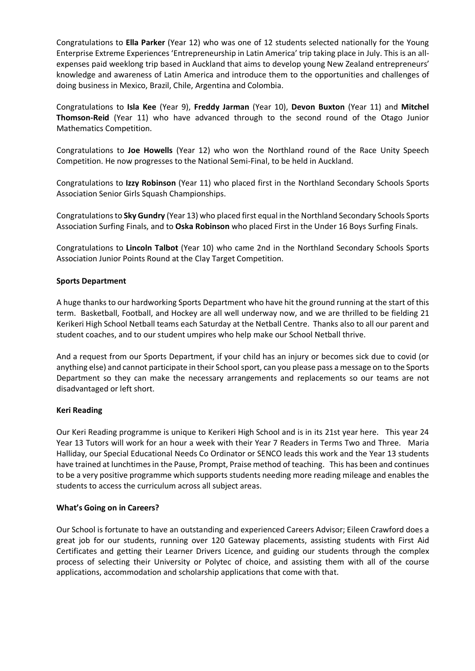Congratulations to **Ella Parker** (Year 12) who was one of 12 students selected nationally for the Young Enterprise Extreme Experiences 'Entrepreneurship in Latin America' trip taking place in July. This is an allexpenses paid weeklong trip based in Auckland that aims to develop young New Zealand entrepreneurs' knowledge and awareness of Latin America and introduce them to the opportunities and challenges of doing business in Mexico, Brazil, Chile, Argentina and Colombia.

Congratulations to **Isla Kee** (Year 9), **Freddy Jarman** (Year 10), **Devon Buxton** (Year 11) and **Mitchel Thomson-Reid** (Year 11) who have advanced through to the second round of the Otago Junior Mathematics Competition.

Congratulations to **Joe Howells** (Year 12) who won the Northland round of the Race Unity Speech Competition. He now progresses to the National Semi-Final, to be held in Auckland.

Congratulations to **Izzy Robinson** (Year 11) who placed first in the Northland Secondary Schools Sports Association Senior Girls Squash Championships.

Congratulations to **Sky Gundry** (Year 13) who placed first equal in the Northland Secondary Schools Sports Association Surfing Finals, and to **Oska Robinson** who placed First in the Under 16 Boys Surfing Finals.

Congratulations to **Lincoln Talbot** (Year 10) who came 2nd in the Northland Secondary Schools Sports Association Junior Points Round at the Clay Target Competition.

# **Sports Department**

A huge thanks to our hardworking Sports Department who have hit the ground running at the start of this term. Basketball, Football, and Hockey are all well underway now, and we are thrilled to be fielding 21 Kerikeri High School Netball teams each Saturday at the Netball Centre. Thanks also to all our parent and student coaches, and to our student umpires who help make our School Netball thrive.

And a request from our Sports Department, if your child has an injury or becomes sick due to covid (or anything else) and cannot participate in their School sport, can you please pass a message on to the Sports Department so they can make the necessary arrangements and replacements so our teams are not disadvantaged or left short.

# **Keri Reading**

Our Keri Reading programme is unique to Kerikeri High School and is in its 21st year here. This year 24 Year 13 Tutors will work for an hour a week with their Year 7 Readers in Terms Two and Three. Maria Halliday, our Special Educational Needs Co Ordinator or SENCO leads this work and the Year 13 students have trained at lunchtimes in the Pause, Prompt, Praise method of teaching. This has been and continues to be a very positive programme which supports students needing more reading mileage and enables the students to access the curriculum across all subject areas.

# **What's Going on in Careers?**

Our School is fortunate to have an outstanding and experienced Careers Advisor; Eileen Crawford does a great job for our students, running over 120 Gateway placements, assisting students with First Aid Certificates and getting their Learner Drivers Licence, and guiding our students through the complex process of selecting their University or Polytec of choice, and assisting them with all of the course applications, accommodation and scholarship applications that come with that.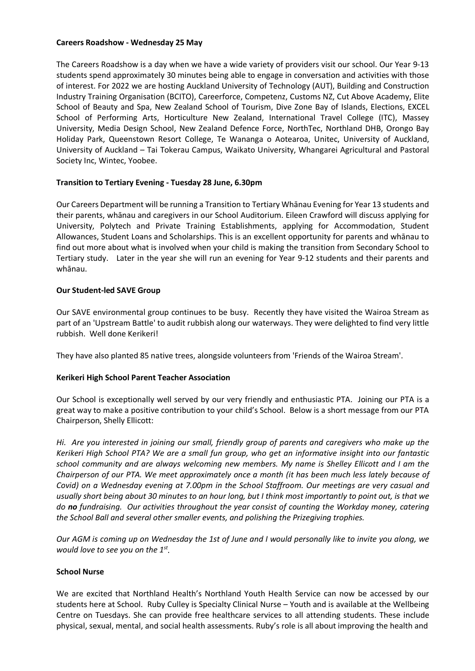### **Careers Roadshow - Wednesday 25 May**

The Careers Roadshow is a day when we have a wide variety of providers visit our school. Our Year 9-13 students spend approximately 30 minutes being able to engage in conversation and activities with those of interest. For 2022 we are hosting Auckland University of Technology (AUT), Building and Construction Industry Training Organisation (BCITO), Careerforce, Competenz, Customs NZ, Cut Above Academy, Elite School of Beauty and Spa, New Zealand School of Tourism, Dive Zone Bay of Islands, Elections, EXCEL School of Performing Arts, Horticulture New Zealand, International Travel College (ITC), Massey University, Media Design School, New Zealand Defence Force, NorthTec, Northland DHB, Orongo Bay Holiday Park, Queenstown Resort College, Te Wananga o Aotearoa, Unitec, University of Auckland, University of Auckland – Tai Tokerau Campus, Waikato University, Whangarei Agricultural and Pastoral Society Inc, Wintec, Yoobee.

# **Transition to Tertiary Evening - Tuesday 28 June, 6.30pm**

Our Careers Department will be running a Transition to Tertiary Whānau Evening for Year 13 students and their parents, whānau and caregivers in our School Auditorium. Eileen Crawford will discuss applying for University, Polytech and Private Training Establishments, applying for Accommodation, Student Allowances, Student Loans and Scholarships. This is an excellent opportunity for parents and whānau to find out more about what is involved when your child is making the transition from Secondary School to Tertiary study. Later in the year she will run an evening for Year 9-12 students and their parents and whānau.

# **Our Student-led SAVE Group**

Our SAVE environmental group continues to be busy. Recently they have visited the Wairoa Stream as part of an 'Upstream Battle' to audit rubbish along our waterways. They were delighted to find very little rubbish. Well done Kerikeri!

They have also planted 85 native trees, alongside volunteers from 'Friends of the Wairoa Stream'.

# **Kerikeri High School Parent Teacher Association**

Our School is exceptionally well served by our very friendly and enthusiastic PTA. Joining our PTA is a great way to make a positive contribution to your child's School. Below is a short message from our PTA Chairperson, Shelly Ellicott:

*Hi. Are you interested in joining our small, friendly group of parents and caregivers who make up the Kerikeri High School PTA? We are a small fun group, who get an informative insight into our fantastic school community and are always welcoming new members. My name is Shelley Ellicott and I am the Chairperson of our PTA. We meet approximately once a month (it has been much less lately because of Covid) on a Wednesday evening at 7.00pm in the School Staffroom. Our meetings are very casual and usually short being about 30 minutes to an hour long, but I think most importantly to point out, is that we do no fundraising. Our activities throughout the year consist of counting the Workday money, catering the School Ball and several other smaller events, and polishing the Prizegiving trophies.* 

*Our AGM is coming up on Wednesday the 1st of June and I would personally like to invite you along, we would love to see you on the 1st.*

# **School Nurse**

We are excited that Northland Health's Northland Youth Health Service can now be accessed by our students here at School. Ruby Culley is Specialty Clinical Nurse – Youth and is available at the Wellbeing Centre on Tuesdays. She can provide free healthcare services to all attending students. These include physical, sexual, mental, and social health assessments. Ruby's role is all about improving the health and